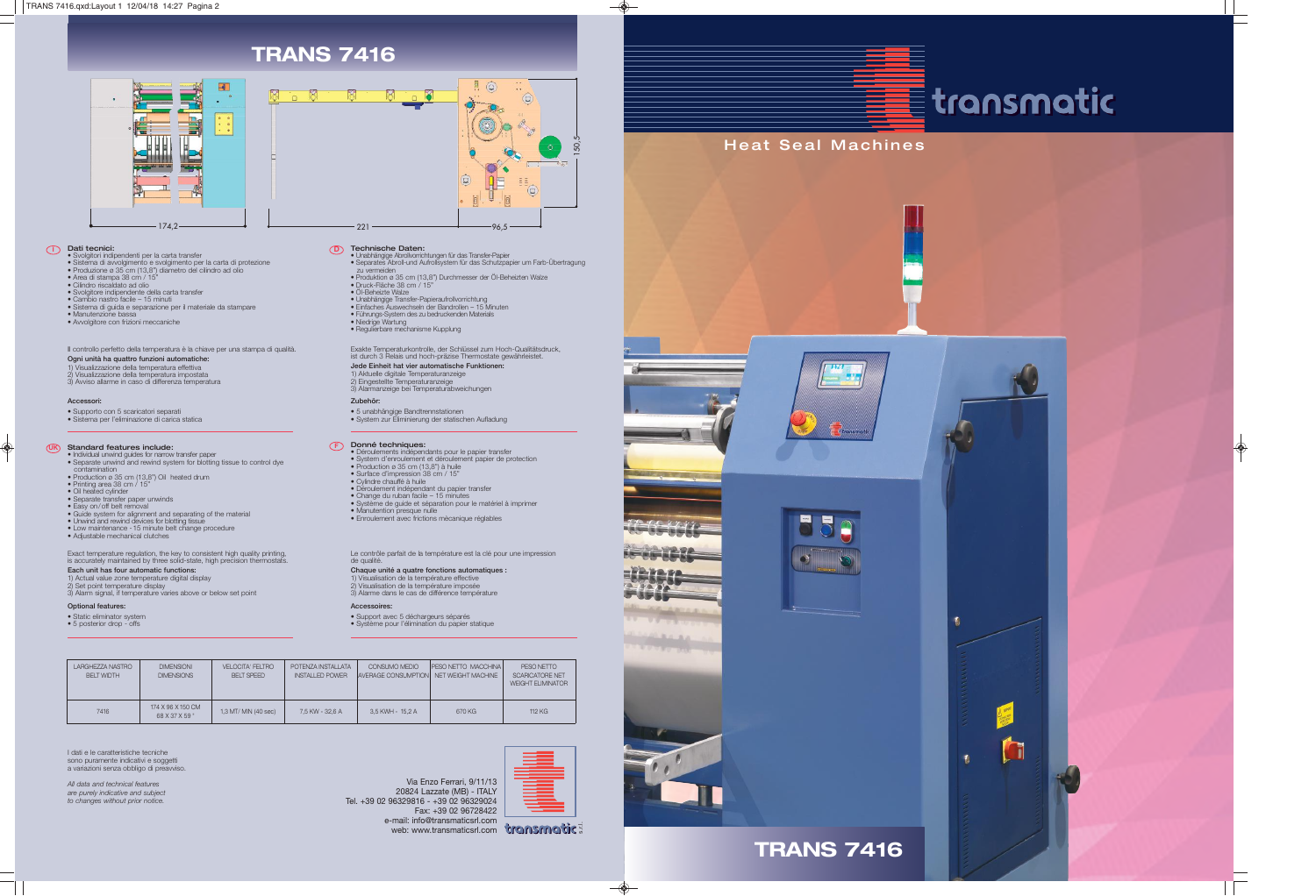## Heat Seal Machines







**TRANS 7416**



























**Dati tecnici:**<br>
• Solgitor indipendenti per la carta transfer<br>
• Sistema di avvolgimento e svolgimento per la carta di protezione<br>
• Produzione ø 35 cm (13,8") diametro del cilindro ad olio<br>
• Area di stampa 38 cm / 15"<br>

20824 Lazzate (MB) - ITALY e-mail: info@transmaticsrl.com web: www.transmaticsrl.com transmatic =





## $\equiv$  transmatic





 $\bigcirc$ 

**Technische Daten:**<br>• Unabhängige Abrollvorrichtungen für das Transfer-Papier<br>• Separates Abroll-und Aufrollsystem für das Schutzpapier um Farb-Übertragung

Via Enzo Ferrari, 9/11/13

Tel. +39 02 96329816 - +39 02 96329024



• Cambio nastro facile – 15 minuti • Sistema di guida e separazione per il materiale da stampare

UK **Standard features include:** The standard CF

• Manutenzione bassa

• Avvolgitore con frizioni meccaniche

• Produktion ø 35 cm (13,8") Durchmesser der Öl-Beheizten Walze • Druck-Fläche 38 cm / 15" • Öl-Beheizte Walze

• Unabhängige Transfer-Papieraufrollvorrichtung • Einfaches Auswechseln der Bandrollen – 15 Minuten • Führungs-System des zu bedruckenden Materials

• Regulierbare mechanisme Kupplung

• Individual unwind guides for narrow transfer paper • Separate unwind and rewind system for blotting tissue to control dye

contamination • Production ø 35 cm (13,8") Oil heated drum • Printing area 38 cm / 15" • Oil heated cylinder • Separate transfer paper unwinds

• Easy on/off belt removal • Guide system for alignment and separating of the material • Unwind and rewind devices for blotting tissue • Low maintenance -15 minute belt change procedure

• Adjustable mechanical clutches

• Déroulements indépendants pour le papier transfer • System d'enroulement et déroulement papier de protection

• Production ø 35 cm (13,8") à huile • Surface d'impression 38 cm / 15" • Cylindre chauffé à huile

• Déroulement indépendant du papier transfer • Change du ruban facile – 15 minutes

CONSUMO MEDIO PESO NETTO MACCHINA<br>AVERAGE CONSUMPTION NET WEIGHT MACHINE 3,5 KWH - 15,2 A NET WEIGHT MACHINE 670 KG

• Système de guide et séparation pour le matériel à imprimer • Manutention presque nulle

• Enroulement avec frictions mècanique réglables

**D**

• Niedrige Wartung

**Donné techniques:** 

**Optional features:** • Static eliminator system • 5 posterior drop - offs **Accessoires:**

• Support avec 5 déchargeurs séparés • Système pour l'élimination du papier statique

**Accessori:**

◈

• Supporto con 5 scaricatori separati • Sistema per l'eliminazione di carica statica **Zubehör:**

• 5 unabhängige Bandtrennstationen • System zur Eliminierung der statischen Aufladung

Il controllo perfetto della temperatura è la chiave per una stampa di qualità.

**Ogni unità ha quattro funzioni automatiche:** 1) Visualizzazione della temperatura effettiva 2) Visualizzazione della temperatura impostata 3) Avviso allarme in caso di differenza temperatura Exakte Temperaturkontrolle, der Schlüssel zum Hoch-Qualitätsdruck, ist durch 3 Relais und hoch-präzise Thermostate gewährleistet.

**Jede Einheit hat vier automatische Funktionen:** 1) Aktuelle digitale Temperaturanzeige 2) Eingestellte Temperaturanzeige 3) Alarmanzeige bei Temperaturabweichungen

Exact temperature regulation, the key to consistent high quality printing, is accurately maintained by three solid-state, high precision thermostats.

**Each unit has four automatic functions:** 1) Actual value zone temperature digital display

2) Set point temperature display

3) Alarm signal, if temperature varies above or below set point

Le contrôle parfait de la température est la clé pour une impression

de qualité.

**Chaque unité a quatre fonctions automatiques :** 1) Visualisation de la température effective 2) Visualisation de la température imposée 3) Alarme dans le cas de différence température



zu vermeiden

## **TRANS 7416**

DIMENSIONI DIMENSIONS

174 X 96 X 150 CM 68 X 37 X 59 "

VELOCITA' FELTRO BELT SPEED

1,3 MT/ MIN (40 sec)

POTENZA INSTALLATA INSTALLED POWER

7,5 KW - 32,6 A

CONSUMO MEDIO







 $\bigcirc$ 

I dati e le caratteristiche tecniche sono puramente indicativi e soggetti a variazioni senza obbligo di preavviso. *All data and technical features are purely indicative and subject to changes without prior notice.*

LARGHEZZA NASTRO BELT WIDTH

7416